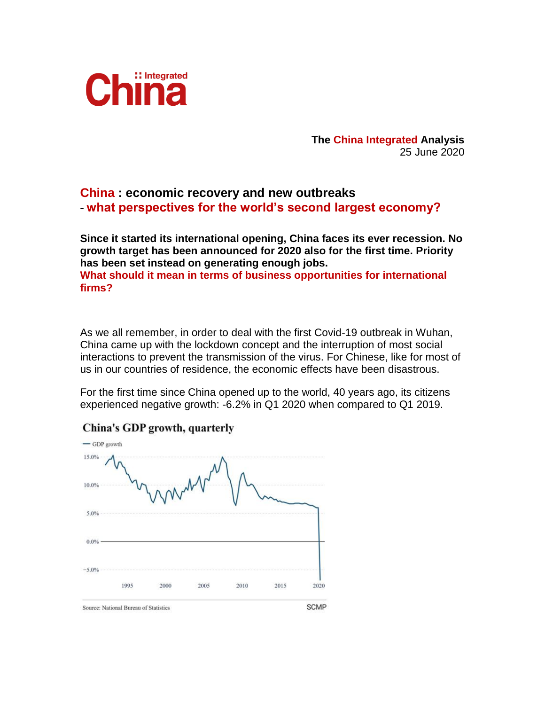

**The China Integrated Analysis** 25 June 2020

## **China : economic recovery and new outbreaks - what perspectives for the world's second largest economy?**

**Since it started its international opening, China faces its ever recession. No growth target has been announced for 2020 also for the first time. Priority has been set instead on generating enough jobs. What should it mean in terms of business opportunities for international firms?**

As we all remember, in order to deal with the first Covid-19 outbreak in Wuhan, China came up with the lockdown concept and the interruption of most social interactions to prevent the transmission of the virus. For Chinese, like for most of us in our countries of residence, the economic effects have been disastrous.

For the first time since China opened up to the world, 40 years ago, its citizens experienced negative growth: -6.2% in Q1 2020 when compared to Q1 2019.

## China's GDP growth, quarterly

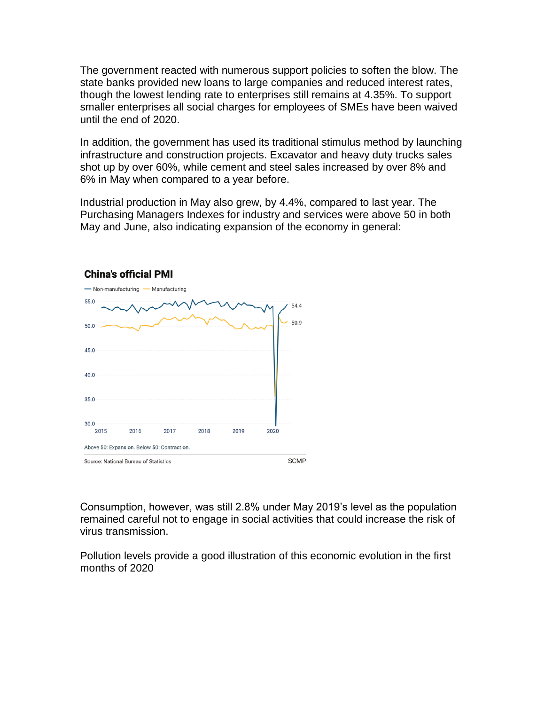The government reacted with numerous support policies to soften the blow. The state banks provided new loans to large companies and reduced interest rates, though the lowest lending rate to enterprises still remains at 4.35%. To support smaller enterprises all social charges for employees of SMEs have been waived until the end of 2020.

In addition, the government has used its traditional stimulus method by launching infrastructure and construction projects. Excavator and heavy duty trucks sales shot up by over 60%, while cement and steel sales increased by over 8% and 6% in May when compared to a year before.

Industrial production in May also grew, by 4.4%, compared to last year. The Purchasing Managers Indexes for industry and services were above 50 in both May and June, also indicating expansion of the economy in general:



## **China's official PMI**

Consumption, however, was still 2.8% under May 2019's level as the population remained careful not to engage in social activities that could increase the risk of virus transmission.

Pollution levels provide a good illustration of this economic evolution in the first months of 2020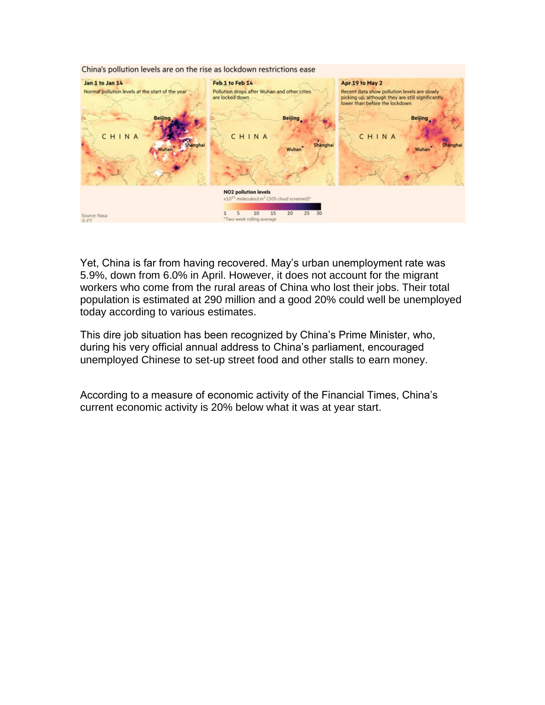

Yet, China is far from having recovered. May's urban unemployment rate was 5.9%, down from 6.0% in April. However, it does not account for the migrant workers who come from the rural areas of China who lost their jobs. Their total population is estimated at 290 million and a good 20% could well be unemployed today according to various estimates.

This dire job situation has been recognized by China's Prime Minister, who, during his very official annual address to China's parliament, encouraged unemployed Chinese to set-up street food and other stalls to earn money.

According to a measure of economic activity of the Financial Times, China's current economic activity is 20% below what it was at year start.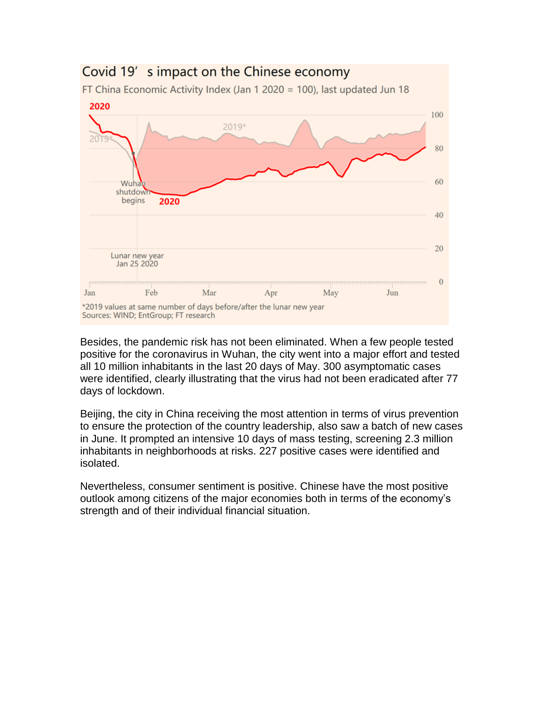

Besides, the pandemic risk has not been eliminated. When a few people tested positive for the coronavirus in Wuhan, the city went into a major effort and tested all 10 million inhabitants in the last 20 days of May. 300 asymptomatic cases were identified, clearly illustrating that the virus had not been eradicated after 77 days of lockdown.

Beijing, the city in China receiving the most attention in terms of virus prevention to ensure the protection of the country leadership, also saw a batch of new cases in June. It prompted an intensive 10 days of mass testing, screening 2.3 million inhabitants in neighborhoods at risks. 227 positive cases were identified and isolated.

Nevertheless, consumer sentiment is positive. Chinese have the most positive outlook among citizens of the major economies both in terms of the economy's strength and of their individual financial situation.